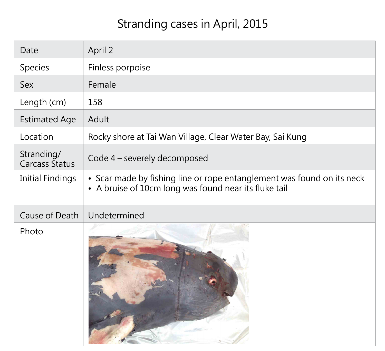### Stranding cases in April, 2015

## • Scar made by fishing line or rope entanglement was found on its neck



| Date                                | April 2                                                                                                     |
|-------------------------------------|-------------------------------------------------------------------------------------------------------------|
| Species                             | Finless porpoise                                                                                            |
| <b>Sex</b>                          | Female                                                                                                      |
| Length (cm)                         | 158                                                                                                         |
| <b>Estimated Age</b>                | Adult                                                                                                       |
| Location                            | Rocky shore at Tai Wan Village, Clear Water Bay, Sai                                                        |
| Stranding/<br><b>Carcass Status</b> | Code 4 – severely decomposed                                                                                |
| <b>Initial Findings</b>             | • Scar made by fishing line or rope entanglement w<br>• A bruise of 10cm long was found near its fluke tail |
| Cause of Death                      | Undetermined                                                                                                |
| Photo                               |                                                                                                             |

### Clear Water Bay, Sai Kung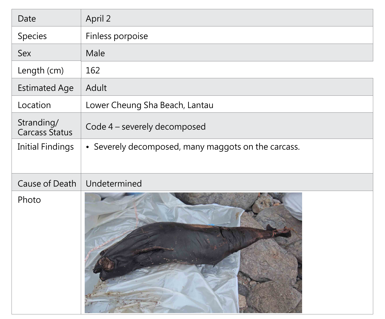| Date                                | April 2                        |
|-------------------------------------|--------------------------------|
| Species                             | Finless porpoise               |
| <b>Sex</b>                          | Male                           |
| Length (cm)                         | 162                            |
| <b>Estimated Age</b>                | Adult                          |
| Location                            | Lower Cheung Sha Beach, Lantau |
| Stranding/<br><b>Carcass Status</b> | Code 4 - severely decomposed   |
| <b>Initial Findings</b>             | • Severely decomposed, many m  |
| <b>Cause of Death</b>               | Undetermined                   |
| Photo                               |                                |

maggots on the carcass.

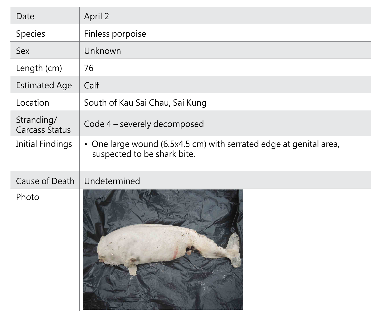| Date                                | April 2                                                       |
|-------------------------------------|---------------------------------------------------------------|
| Species                             | Finless porpoise                                              |
| <b>Sex</b>                          | Unknown                                                       |
| Length (cm)                         | 76                                                            |
| <b>Estimated Age</b>                | Calf                                                          |
| Location                            | South of Kau Sai Chau, Sai Kung                               |
| Stranding/<br><b>Carcass Status</b> | Code 4 - severely decomposed                                  |
| <b>Initial Findings</b>             | • One large wound (6.5x4.5 cm)<br>suspected to be shark bite. |
| <b>Cause of Death</b>               | Undetermined                                                  |
| Photo                               |                                                               |

#### I) with serrated edge at genital area,

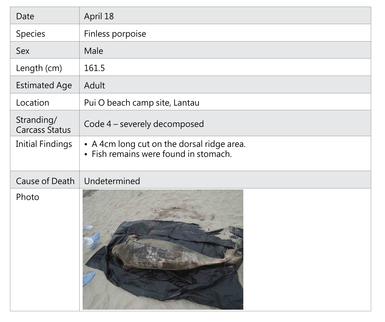| Date                                | April 18                                                                            |
|-------------------------------------|-------------------------------------------------------------------------------------|
| Species                             | Finless porpoise                                                                    |
| <b>Sex</b>                          | Male                                                                                |
| Length (cm)                         | 161.5                                                                               |
| <b>Estimated Age</b>                | Adult                                                                               |
| Location                            | Pui O beach camp site, Lantau                                                       |
| Stranding/<br><b>Carcass Status</b> | Code 4 – severely decomposed                                                        |
| <b>Initial Findings</b>             | • A 4cm long cut on the dorsal ridge area.<br>• Fish remains were found in stomach. |
| <b>Cause of Death</b>               | Undetermined                                                                        |
| Photo                               |                                                                                     |

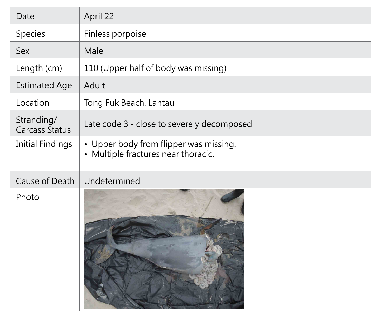| Date                                | April 22                                                                |
|-------------------------------------|-------------------------------------------------------------------------|
| <b>Species</b>                      | Finless porpoise                                                        |
| <b>Sex</b>                          | Male                                                                    |
| Length (cm)                         | 110 (Upper half of body was missi                                       |
| <b>Estimated Age</b>                | Adult                                                                   |
| Location                            | Tong Fuk Beach, Lantau                                                  |
| Stranding/<br><b>Carcass Status</b> | Late code 3 - close to severely dec                                     |
| <b>Initial Findings</b>             | • Upper body from flipper was mi<br>• Multiple fractures near thoracic. |
| <b>Cause of Death</b>               | Undetermined                                                            |
| Photo                               |                                                                         |

### $issing)$

#### decomposed

# missing.<br>cic.